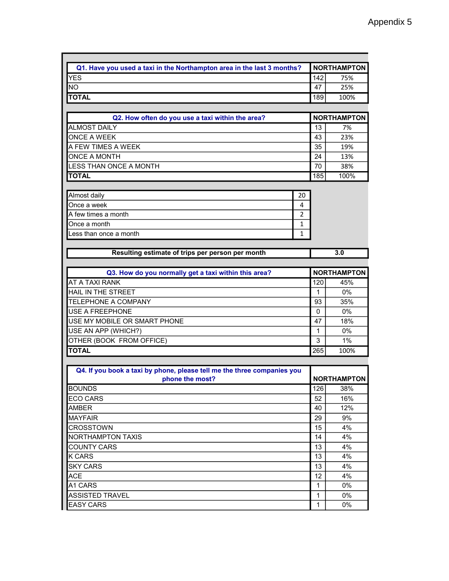| Q1. Have you used a taxi in the Northampton area in the last 3 months?  |              | <b>NORTHAMPTON</b> |
|-------------------------------------------------------------------------|--------------|--------------------|
| <b>YES</b>                                                              | 142          | 75%                |
| <b>NO</b>                                                               | 47           | 25%                |
| <b>TOTAL</b>                                                            | 189          | 100%               |
|                                                                         |              |                    |
| Q2. How often do you use a taxi within the area?                        |              | <b>NORTHAMPTON</b> |
| <b>ALMOST DAILY</b>                                                     | 13           | 7%                 |
| <b>ONCE A WEEK</b>                                                      | 43           | 23%                |
| A FEW TIMES A WEEK                                                      | 35           | 19%                |
| <b>ONCE A MONTH</b>                                                     | 24           | 13%                |
| LESS THAN ONCE A MONTH                                                  | 70           | 38%                |
| <b>TOTAL</b>                                                            | 185          | 100%               |
|                                                                         |              |                    |
| Almost daily                                                            | 20           |                    |
| Once a week                                                             | 4            |                    |
| A few times a month                                                     | 2            |                    |
| Once a month                                                            | $\mathbf{1}$ |                    |
| Less than once a month                                                  | 1            |                    |
|                                                                         |              |                    |
| Resulting estimate of trips per person per month                        |              | 3.0                |
|                                                                         |              |                    |
| Q3. How do you normally get a taxi within this area?                    |              | <b>NORTHAMPTON</b> |
| <b>AT A TAXI RANK</b>                                                   | 120          | 45%                |
|                                                                         |              |                    |
| HAIL IN THE STREET                                                      | 1            | $0\%$              |
| TELEPHONE A COMPANY                                                     | 93           | 35%                |
| USE A FREEPHONE                                                         | 0            | 0%                 |
| USE MY MOBILE OR SMART PHONE                                            | 47           | 18%                |
| USE AN APP (WHICH?)                                                     | 1            | 0%                 |
| OTHER (BOOK FROM OFFICE)                                                | 3            | 1%                 |
| <b>TOTAL</b>                                                            | 265          | 100%               |
|                                                                         |              |                    |
| Q4. If you book a taxi by phone, please tell me the three companies you |              |                    |
| phone the most?                                                         |              | <b>NORTHAMPTON</b> |
| <b>BOUNDS</b>                                                           | 126          | 38%                |
| <b>ECO CARS</b>                                                         | 52           | 16%                |
| <b>AMBER</b>                                                            | 40           | 12%                |
| <b>MAYFAIR</b>                                                          | 29           | 9%                 |
| <b>CROSSTOWN</b>                                                        | 15           | 4%                 |
| <b>NORTHAMPTON TAXIS</b>                                                | 14           | 4%                 |
| <b>COUNTY CARS</b>                                                      | 13           | 4%                 |
| <b>K CARS</b>                                                           | 13           | 4%                 |
| <b>SKY CARS</b>                                                         | 13           | 4%                 |
| <b>ACE</b>                                                              | 12           | 4%                 |
| A1 CARS                                                                 | 1            | 0%                 |
| <b>ASSISTED TRAVEL</b><br><b>EASY CARS</b>                              | 1            | 0%                 |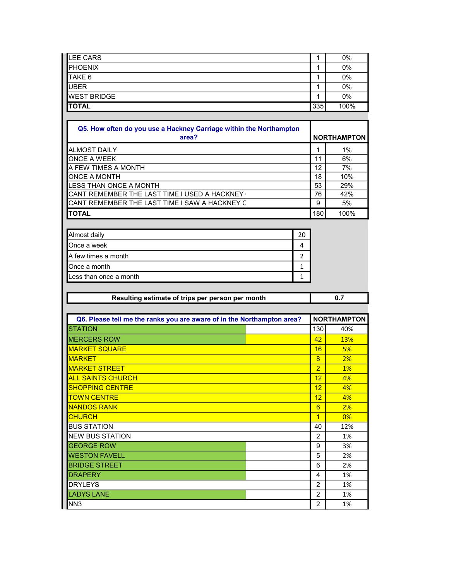| <b>LEE CARS</b>                                                        |    | 1                   | 0%                       |
|------------------------------------------------------------------------|----|---------------------|--------------------------|
| <b>PHOENIX</b>                                                         |    | 1                   | $0\%$                    |
| TAKE <sub>6</sub>                                                      |    | 1                   | $0\%$                    |
| <b>UBER</b>                                                            |    | 1                   | $0\%$                    |
| <b>WEST BRIDGE</b>                                                     |    | 1                   | 0%                       |
| <b>TOTAL</b>                                                           |    | 335                 | 100%                     |
|                                                                        |    |                     |                          |
| Q5. How often do you use a Hackney Carriage within the Northampton     |    |                     |                          |
| area?                                                                  |    |                     | <b>NORTHAMPTON</b>       |
| <b>ALMOST DAILY</b>                                                    |    | 1                   | $1\%$                    |
| <b>ONCE A WEEK</b>                                                     |    | 11                  | 6%                       |
| A FEW TIMES A MONTH                                                    |    | 12                  | 7%                       |
| <b>ONCE A MONTH</b>                                                    |    | 18                  | 10%                      |
| LESS THAN ONCE A MONTH                                                 |    | 53                  | 29%                      |
| CANT REMEMBER THE LAST TIME I USED A HACKNEY                           |    | 76                  | 42%                      |
| CANT REMEMBER THE LAST TIME I SAW A HACKNEY C                          |    | 9                   | 5%                       |
| <b>TOTAL</b>                                                           |    | 180                 | 100%                     |
|                                                                        |    |                     |                          |
| Almost daily                                                           | 20 |                     |                          |
| Once a week                                                            | 4  |                     |                          |
| A few times a month                                                    | 2  |                     |                          |
| Once a month                                                           | 1  |                     |                          |
| Less than once a month                                                 | 1  |                     |                          |
|                                                                        |    |                     |                          |
|                                                                        |    |                     |                          |
|                                                                        |    |                     | 0.7                      |
| Resulting estimate of trips per person per month                       |    |                     |                          |
|                                                                        |    |                     |                          |
| Q6. Please tell me the ranks you are aware of in the Northampton area? |    |                     | 40%                      |
| <b>STATION</b>                                                         |    | 130                 |                          |
| <b>MERCERS ROW</b>                                                     |    | 42                  | 13%                      |
| <b>MARKET SQUARE</b>                                                   |    | 16                  | 5%                       |
| <b>MARKET</b><br><b>MARKET STREET</b>                                  |    | 8<br>$\overline{2}$ | 2%<br>1%                 |
|                                                                        |    |                     |                          |
| <b>ALL SAINTS CHURCH</b><br><b>SHOPPING CENTRE</b>                     |    | 12<br>12            | 4%<br>4%                 |
| <b>TOWN CENTRE</b>                                                     |    | 12                  | 4%                       |
| <b>NANDOS RANK</b>                                                     |    | 6                   | 2%                       |
| <b>CHURCH</b>                                                          |    | $\overline{1}$      | 0%                       |
| <b>BUS STATION</b>                                                     |    | 40                  | 12%                      |
| <b>INEW BUS STATION</b>                                                |    | $\overline{2}$      | 1%                       |
| <b>GEORGE ROW</b>                                                      |    | 9                   | 3%                       |
| <b>WESTON FAVELL</b>                                                   |    | 5                   | 2%                       |
| <b>BRIDGE STREET</b>                                                   |    | 6                   | 2%                       |
| <b>DRAPERY</b>                                                         |    | 4                   | 1%                       |
| <b>DRYLEYS</b>                                                         |    | $\overline{2}$      | 1%                       |
| <b>LADYS LANE</b>                                                      |    | $\overline{c}$      | <b>NORTHAMPTON</b><br>1% |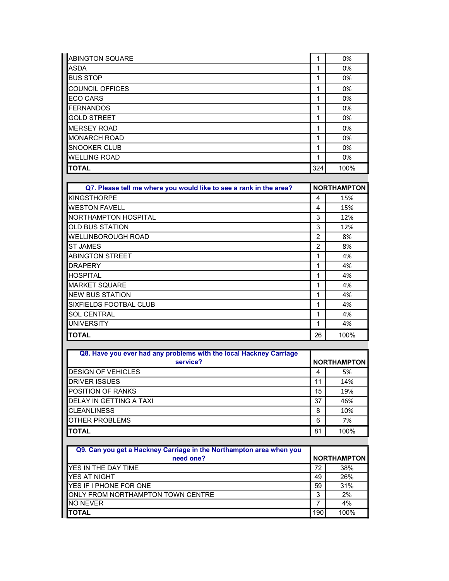| <b>ABINGTON SQUARE</b> |     | 0%   |
|------------------------|-----|------|
| <b>ASDA</b>            | 1   | 0%   |
| <b>BUS STOP</b>        | 1   | 0%   |
| COUNCIL OFFICES        | 1   | 0%   |
| <b>ECO CARS</b>        | 1   | 0%   |
| <b>FERNANDOS</b>       | 1   | 0%   |
| <b>GOLD STREET</b>     | 1   | 0%   |
| <b>MERSEY ROAD</b>     | 1   | 0%   |
| <b>MONARCH ROAD</b>    | 1   | 0%   |
| <b>SNOOKER CLUB</b>    | 1   | 0%   |
| <b>WELLING ROAD</b>    | 1   | 0%   |
| <b>TOTAL</b>           | 324 | 100% |

| Q7. Please tell me where you would like to see a rank in the area? |                | <b>NORTHAMPTON</b> |
|--------------------------------------------------------------------|----------------|--------------------|
| <b>KINGSTHORPE</b>                                                 | 4              | 15%                |
| <b>WESTON FAVELL</b>                                               | 4              | 15%                |
| INORTHAMPTON HOSPITAL                                              | 3              | 12%                |
| <b>OLD BUS STATION</b>                                             | 3              | 12%                |
| <b>WELLINBOROUGH ROAD</b>                                          | 2              | 8%                 |
| <b>ST JAMES</b>                                                    | $\overline{2}$ | 8%                 |
| <b>ABINGTON STREET</b>                                             |                | 4%                 |
| <b>DRAPERY</b>                                                     |                | 4%                 |
| HOSPITAL                                                           |                | 4%                 |
| MARKET SQUARE                                                      |                | 4%                 |
| <b>INEW BUS STATION</b>                                            |                | 4%                 |
| SIXFIELDS FOOTBAL CLUB                                             |                | 4%                 |
| <b>SOL CENTRAL</b>                                                 |                | 4%                 |
| <b>UNIVERSITY</b>                                                  |                | 4%                 |
| TOTAL                                                              | 26             | 100%               |

| Q8. Have you ever had any problems with the local Hackney Carriage<br>service? |    | <b>NORTHAMPTON</b> |
|--------------------------------------------------------------------------------|----|--------------------|
| <b>DESIGN OF VEHICLES</b>                                                      | 4  | 5%                 |
| <b>DRIVER ISSUES</b>                                                           | 11 | 14%                |
| <b>IPOSITION OF RANKS</b>                                                      | 15 | 19%                |
| <b>I</b> DELAY IN GETTING A TAXI                                               | 37 | 46%                |
| <b>I</b> CLEANLINESS                                                           | 8  | 10%                |
| <b>IOTHER PROBLEMS</b>                                                         | 6  | 7%                 |
| <b>TOTAL</b>                                                                   | 81 | 100%               |

| Q9. Can you get a Hackney Carriage in the Northampton area when you |     |                    |
|---------------------------------------------------------------------|-----|--------------------|
| need one?                                                           |     | <b>NORTHAMPTON</b> |
| IYES IN THE DAY TIME                                                | 72  | 38%                |
| IYES AT NIGHT                                                       | 49  | 26%                |
| <b>IYES IF I PHONE FOR ONE</b>                                      | 59  | 31%                |
| ONLY FROM NORTHAMPTON TOWN CENTRE                                   | 3   | 2%                 |
| <b>INO NEVER</b>                                                    |     | 4%                 |
| <b>TOTAL</b>                                                        | 190 | 100%               |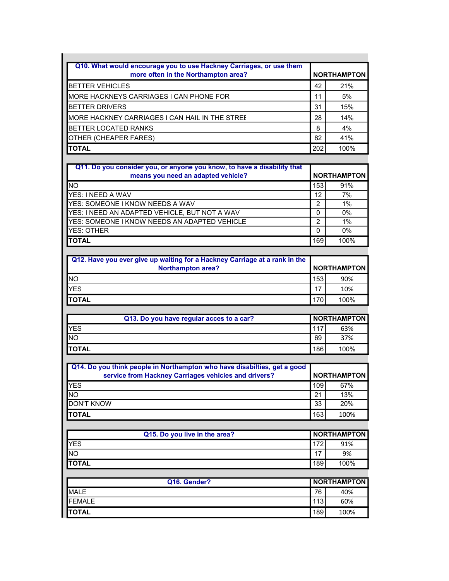| Q10. What would encourage you to use Hackney Carriages, or use them<br>more often in the Northampton area? |     | <b>NORTHAMPTON</b> |
|------------------------------------------------------------------------------------------------------------|-----|--------------------|
| <b>BETTER VEHICLES</b>                                                                                     | 42  | 21%                |
| IMORE HACKNEYS CARRIAGES I CAN PHONE FOR                                                                   | 11  | 5%                 |
| <b>IBETTER DRIVERS</b>                                                                                     | 31  | 15%                |
| IMORE HACKNEY CARRIAGES I CAN HAIL IN THE STREE                                                            | 28  | 14%                |
| <b>IBETTER LOCATED RANKS</b>                                                                               | 8   | 4%                 |
| <b>OTHER (CHEAPER FARES)</b>                                                                               | 82  | 41%                |
| <b>TOTAL</b>                                                                                               | 202 | 100%               |

| Q11. Do you consider you, or anyone you know, to have a disability that<br>means you need an adapted vehicle? |     | <b>NORTHAMPTON</b> |
|---------------------------------------------------------------------------------------------------------------|-----|--------------------|
| <b>INO</b>                                                                                                    | 153 | 91%                |
| <b>IYES: I NEED A WAV</b>                                                                                     | 12  | 7%                 |
| YES: SOMEONE I KNOW NEEDS A WAV                                                                               | 2   | 1%                 |
| YES: I NEED AN ADAPTED VEHICLE, BUT NOT A WAV                                                                 | 0   | 0%                 |
| YES: SOMEONE I KNOW NEEDS AN ADAPTED VEHICLE                                                                  | 2   | 1%                 |
| <b>IYES: OTHER</b>                                                                                            | 0   | 0%                 |
| <b>TOTAL</b>                                                                                                  | 169 | 100%               |

| Q12. Have you ever give up waiting for a Hackney Carriage at a rank in the<br><b>Northampton area?</b> |     | <b>NORTHAMPTON</b> |
|--------------------------------------------------------------------------------------------------------|-----|--------------------|
| <b>INO</b>                                                                                             | 153 | 90%                |
| <b>IYES</b>                                                                                            | 17  | 10%                |
| <b>ITOTAL</b>                                                                                          | 170 | 100%               |
|                                                                                                        |     |                    |

|               | Q13. Do you have regular acces to a car? |      | <b>I</b> NORTHAMPTON |
|---------------|------------------------------------------|------|----------------------|
| <b>YES</b>    |                                          | .117 | 63%                  |
| <b>I</b> NO   |                                          | 69   | 37%                  |
| <b>ITOTAL</b> |                                          | 186  | 100%                 |

| <b>Q14. Do you think people in Northampton who have disabilties, get a good</b><br>service from Hackney Carriages vehicles and drivers? |     | <b>NORTHAMPTON</b> |
|-----------------------------------------------------------------------------------------------------------------------------------------|-----|--------------------|
| <b>YES</b>                                                                                                                              | 109 | 67%                |
| <b>NO</b>                                                                                                                               | 21  | 13%                |
| <b>IDON'T KNOW</b>                                                                                                                      | 33  | 20%                |
| <b>ITOTAL</b>                                                                                                                           | 163 | 100%               |

| <b>YES</b>   |     |      |
|--------------|-----|------|
|              | 172 | 91%  |
| <b>NO</b>    | 17  | 9%   |
| <b>TOTAL</b> | 189 | 100% |

| Q16. Gender?   |                  | <b>NORTHAMPTON</b> |
|----------------|------------------|--------------------|
| <b>IMALE</b>   | 76               | 40%                |
| <b>IFEMALE</b> | 113 <sub>1</sub> | 60%                |
| <b>ITOTAL</b>  | 189              | 100%               |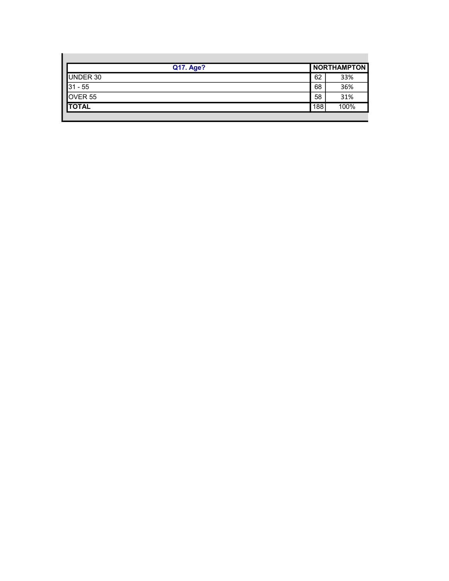|                     | Q17. Age? |     | NORTHAMPTON |
|---------------------|-----------|-----|-------------|
| UNDER 30            |           | 62  | 33%         |
| $-55$<br>$\vert$ 31 |           | 68  | 36%         |
| $\bigcup$ OVER 55   |           | 58  | 31%         |
| <b>TOTAL</b>        |           | 188 | 100%        |
|                     |           |     |             |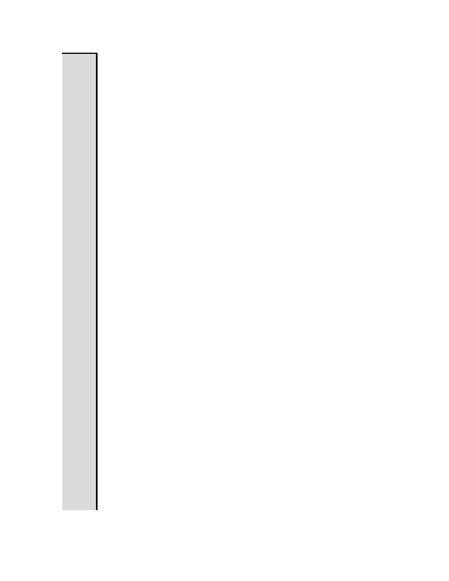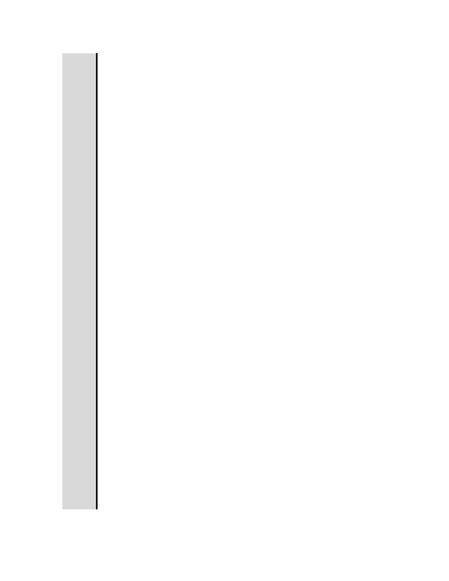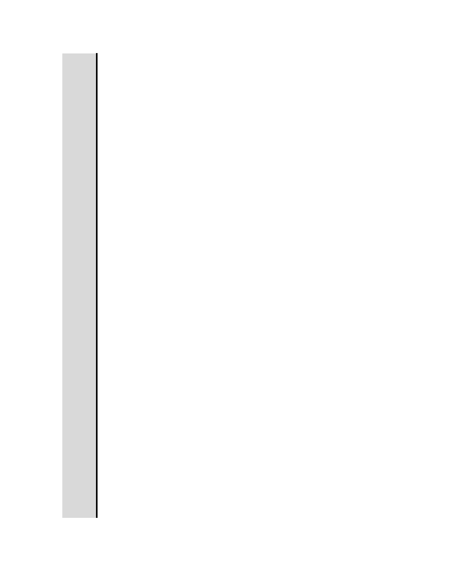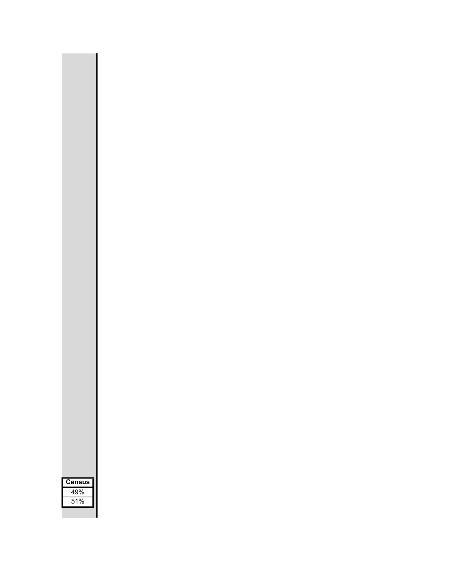| Census |
|--------|
| 49%    |
| 51%    |
|        |